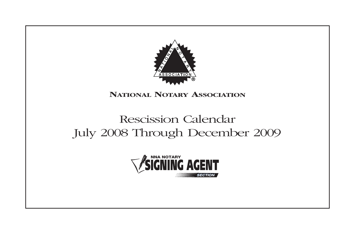

## **NATIONAL NOTARY ASSOCIATION**

# Rescission Calendar July 2008 Through December 2009 **e** *SECTION*

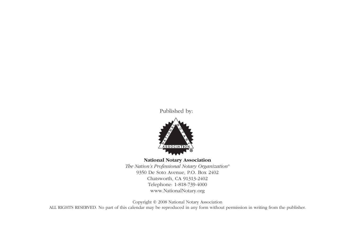Published by:



#### **National Notary Association**

*The Nation's Professional Notary Organization®* 9350 De Soto Avenue, P.O. Box 2402 Chatsworth, CA 91313-2402 Telephone: 1-818-739-4000 www.NationalNotary.org

Copyright © 2008 National Notary Association ALL RIGHTS RESERVED. No part of this calendar may be reproduced in any form without permission in writing from the publisher.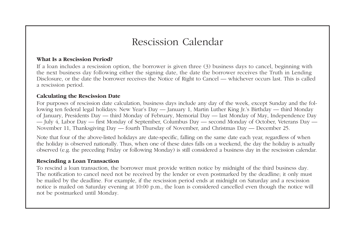#### **What Is a Rescission Period?**

If a loan includes a rescission option, the borrower is given three (3) business days to cancel, beginning with the next business day following either the signing date, the date the borrower receives the Truth in Lending Disclosure, or the date the borrower receives the Notice of Right to Cancel — whichever occurs last. This is called a rescission period.

### **Calculating the Rescission Date**

For purposes of rescission date calculation, business days include any day of the week, except Sunday and the following ten federal legal holidays: New Year's Day — January 1, Martin Luther King Jr.'s Birthday — third Monday of January, Presidents Day — third Monday of February, Memorial Day — last Monday of May, Independence Day — July 4, Labor Day — first Monday of September, Columbus Day — second Monday of October, Veterans Day — November 11, Thanksgiving Day — fourth Thursday of November, and Christmas Day — December 25.

Note that four of the above-listed holidays are date-specific, falling on the same date each year, regardless of when the holiday is observed nationally. Thus, when one of these dates falls on a weekend, the day the holiday is actually observed (e.g. the preceding Friday or following Monday) is still considered a business day in the rescission calendar.

### **Rescinding a Loan Transaction**

To rescind a loan transaction, the borrower must provide written notice by midnight of the third business day. The notification to cancel need not be received by the lender or even postmarked by the deadline; it only must be mailed by the deadline. For example, if the rescission period ends at midnight on Saturday and a rescission notice is mailed on Saturday evening at 10:00 p.m., the loan is considered cancelled even though the notice will not be postmarked until Monday.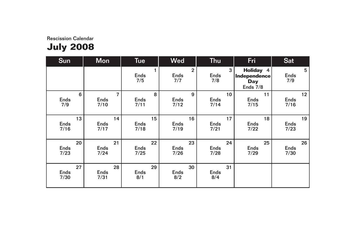| <b>Sun</b>         | Mon                       | <b>Tue</b>               | <b>Wed</b>                    | <b>Thu</b>              | Fri                                                   | <b>Sat</b>       |
|--------------------|---------------------------|--------------------------|-------------------------------|-------------------------|-------------------------------------------------------|------------------|
|                    |                           | <b>Ends</b><br>7/5       | $\overline{2}$<br>Ends<br>7/7 | 3<br><b>Ends</b><br>7/8 | <b>Holiday 4</b><br>Independence<br>Day<br>Ends $7/8$ | 5<br>Ends<br>7/9 |
| 6                  | $\overline{7}$            | 8                        | 9                             | 10                      | 11                                                    | 12               |
| <b>Ends</b>        | Ends                      | <b>Ends</b>              | <b>Ends</b>                   | <b>Ends</b>             | <b>Ends</b>                                           | <b>Ends</b>      |
| 7/9                | 7/10                      | 7/11                     | 7/12                          | 7/14                    | 7/15                                                  | 7/16             |
| 13                 | 14                        | 15                       | 16                            | 17                      | 18                                                    | 19               |
| Ends               | <b>Ends</b>               | <b>Ends</b>              | <b>Ends</b>                   | Ends                    | <b>Ends</b>                                           | Ends             |
| 7/16               | 7/17                      | 7/18                     | 7/19                          | 7/21                    | 7/22                                                  | 7/23             |
| 20                 | 21                        | 22                       | 23                            | 24                      | 25                                                    | 26               |
| <b>Ends</b>        | <b>Ends</b>               | <b>Ends</b>              | <b>Ends</b>                   | Ends                    | <b>Ends</b>                                           | <b>Ends</b>      |
| 7/23               | 7/24                      | 7/25                     | 7/26                          | 7/28                    | 7/29                                                  | 7/30             |
| 27<br>Ends<br>7/30 | 28<br><b>Ends</b><br>7/31 | 29<br><b>Ends</b><br>8/1 | 30<br><b>Ends</b><br>8/2      | 31<br>Ends<br>8/4       |                                                       |                  |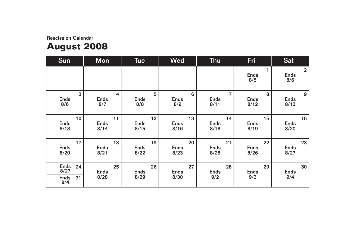# **August 2008**

| <b>Sun</b>                                | <b>Mon</b>                | <b>Tue</b>                | <b>Wed</b>                | <b>Thu</b>               | Fri                      | <b>Sat</b>                           |
|-------------------------------------------|---------------------------|---------------------------|---------------------------|--------------------------|--------------------------|--------------------------------------|
|                                           |                           |                           |                           |                          | <b>Ends</b><br>8/5       | $\overline{2}$<br><b>Ends</b><br>8/6 |
| 3                                         | $\overline{4}$            | 5                         | 6                         | $\overline{7}$           | 8                        | 9                                    |
| Ends                                      | <b>Ends</b>               | <b>Ends</b>               | <b>Ends</b>               | <b>Ends</b>              | <b>Ends</b>              | <b>Ends</b>                          |
| 8/6                                       | 8/7                       | 8/8                       | 8/9                       | 8/11                     | 8/12                     | 8/13                                 |
| 10 <sup>°</sup>                           | 11                        | 12                        | 13                        | 14                       | 15                       | 16                                   |
| Ends                                      | <b>Ends</b>               | <b>Ends</b>               | <b>Ends</b>               | <b>Ends</b>              | <b>Ends</b>              | <b>Ends</b>                          |
| 8/13                                      | 8/14                      | 8/15                      | 8/16                      | 8/18                     | 8/19                     | 8/20                                 |
| 17                                        | 18                        | 19                        | 20                        | 21                       | 22                       | 23                                   |
| Ends                                      | <b>Ends</b>               | <b>Ends</b>               | <b>Ends</b>               | <b>Ends</b>              | <b>Ends</b>              | <b>Ends</b>                          |
| 8/20                                      | 8/21                      | 8/22                      | 8/23                      | 8/25                     | 8/26                     | 8/27                                 |
| Ends<br>24<br>8/27<br>31<br>Ends<br>$9/4$ | 25<br><b>Ends</b><br>8/28 | 26<br><b>Ends</b><br>8/29 | 27<br><b>Ends</b><br>8/30 | 28<br><b>Ends</b><br>9/2 | 29<br><b>Ends</b><br>9/3 | 30<br><b>Ends</b><br>9/4             |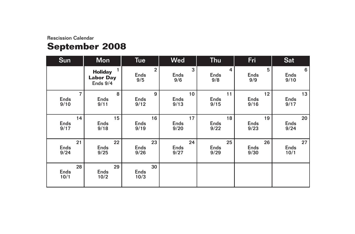# **September 2008**

| Sun                       | <b>Mon</b>                                          | <b>Tue</b>                           | <b>Wed</b>              | <b>Thu</b>              | Fri                     | <b>Sat</b>               |
|---------------------------|-----------------------------------------------------|--------------------------------------|-------------------------|-------------------------|-------------------------|--------------------------|
|                           | 1<br><b>Holiday</b><br><b>Labor Day</b><br>Ends 9/4 | $\overline{2}$<br><b>Ends</b><br>9/5 | 3<br><b>Ends</b><br>9/6 | 4<br><b>Ends</b><br>9/8 | 5<br><b>Ends</b><br>9/9 | 6<br><b>Ends</b><br>9/10 |
| $\overline{7}$            | 8                                                   | 9                                    | 10 <sup>°</sup>         | 11                      | 12                      | 13                       |
| <b>Ends</b>               | <b>Ends</b>                                         | <b>Ends</b>                          | <b>Ends</b>             | <b>Ends</b>             | <b>Ends</b>             | <b>Ends</b>              |
| 9/10                      | 9/11                                                | 9/12                                 | 9/13                    | 9/15                    | 9/16                    | 9/17                     |
| 14                        | 15                                                  | 16                                   | 17                      | 18                      | 19                      | 20                       |
| <b>Ends</b>               | <b>Ends</b>                                         | <b>Ends</b>                          | <b>Ends</b>             | <b>Ends</b>             | <b>Ends</b>             | <b>Ends</b>              |
| 9/17                      | 9/18                                                | 9/19                                 | 9/20                    | 9/22                    | 9/23                    | 9/24                     |
| 21                        | 22                                                  | 23                                   | 24                      | 25                      | 26                      | 27                       |
| <b>Ends</b>               | <b>Ends</b>                                         | <b>Ends</b>                          | <b>Ends</b>             | <b>Ends</b>             | <b>Ends</b>             | <b>Ends</b>              |
| 9/24                      | 9/25                                                | 9/26                                 | 9/27                    | 9/29                    | 9/30                    | 10/1                     |
| 28<br><b>Ends</b><br>10/1 | 29<br><b>Ends</b><br>10/2                           | 30<br>Ends<br>10/3                   |                         |                         |                         |                          |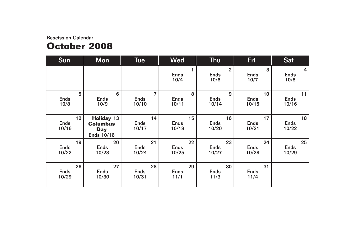### Rescission Calendar **October 2008**

| <b>Sun</b>                 | <b>Mon</b>                                                | <b>Tue</b>                 | <b>Wed</b>                 | <b>Thu</b>                            | Fri                        | <b>Sat</b>                 |
|----------------------------|-----------------------------------------------------------|----------------------------|----------------------------|---------------------------------------|----------------------------|----------------------------|
|                            |                                                           |                            | <b>Ends</b><br>10/4        | $\overline{2}$<br><b>Ends</b><br>10/6 | 3<br><b>Ends</b><br>10/7   | 4<br><b>Ends</b><br>10/8   |
| 5                          | 6                                                         | $\overline{7}$             | 8                          | 9                                     | 10 <sup>1</sup>            | 11                         |
| Ends                       | <b>Ends</b>                                               | <b>Ends</b>                | <b>Ends</b>                | <b>Ends</b>                           | <b>Ends</b>                | <b>Ends</b>                |
| 10/8                       | 10/9                                                      | 10/10                      | 10/11                      | 10/14                                 | 10/15                      | 10/16                      |
| 12<br><b>Ends</b><br>10/16 | Holiday 13<br><b>Columbus</b><br><b>Day</b><br>Ends 10/16 | 14<br><b>Ends</b><br>10/17 | 15<br><b>Ends</b><br>10/18 | 16<br><b>Ends</b><br>10/20            | 17<br><b>Ends</b><br>10/21 | 18<br><b>Ends</b><br>10/22 |
| 19                         | 20                                                        | 21                         | 22                         | 23                                    | 24                         | 25                         |
| <b>Ends</b>                | <b>Ends</b>                                               | <b>Ends</b>                | <b>Ends</b>                | <b>Ends</b>                           | <b>Ends</b>                | <b>Ends</b>                |
| 10/22                      | 10/23                                                     | 10/24                      | 10/25                      | 10/27                                 | 10/28                      | 10/29                      |
| 26                         | 27                                                        | 28                         | 29                         | 30                                    | 31                         |                            |
| <b>Ends</b>                | <b>Ends</b>                                               | <b>Ends</b>                | <b>Ends</b>                | <b>Ends</b>                           | <b>Ends</b>                |                            |
| 10/29                      | 10/30                                                     | 10/31                      | 11/1                       | 11/3                                  | 11/4                       |                            |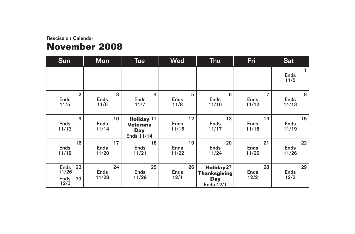## **November 2008**

| <b>Sun</b>                                | <b>Mon</b>                              | Tue                                                       | <b>Wed</b>                 | <b>Thu</b>                                                   | Fri                                    | <b>Sat</b>                 |
|-------------------------------------------|-----------------------------------------|-----------------------------------------------------------|----------------------------|--------------------------------------------------------------|----------------------------------------|----------------------------|
|                                           |                                         |                                                           |                            |                                                              |                                        | <b>Ends</b><br>11/5        |
| $\overline{2}$<br><b>Ends</b><br>11/5     | 3<br><b>Ends</b><br>11/6                | 4<br><b>Ends</b><br>11/7                                  | 5<br><b>Ends</b><br>11/8   | 6<br><b>Ends</b><br>11/10                                    | $\overline{7}$<br><b>Ends</b><br>11/12 | 8<br><b>Ends</b><br>11/13  |
| 9<br>Ends<br>11/13                        | 10 <sup>°</sup><br><b>Ends</b><br>11/14 | <b>Holiday 11</b><br><b>Veterans</b><br>Day<br>Ends 11/14 | 12<br><b>Ends</b><br>11/15 | 13<br><b>Ends</b><br>11/17                                   | 14<br><b>Ends</b><br>11/18             | 15<br><b>Ends</b><br>11/19 |
| 16<br><b>Ends</b><br>11/19                | 17<br><b>Ends</b><br>11/20              | 18<br><b>Ends</b><br>11/21                                | 19<br><b>Ends</b><br>11/22 | 20<br><b>Ends</b><br>11/24                                   | 21<br><b>Ends</b><br>11/25             | 22<br><b>Ends</b><br>11/26 |
| 23<br>Ends<br>11/26<br>30<br>Ends<br>12/3 | 24<br><b>Ends</b><br>11/28              | 25<br><b>Ends</b><br>11/29                                | 26<br><b>Ends</b><br>12/1  | Holiday 27<br><b>Thanksgiving</b><br>Day<br><b>Ends 12/1</b> | 28<br><b>Ends</b><br>12/2              | 29<br><b>Ends</b><br>12/3  |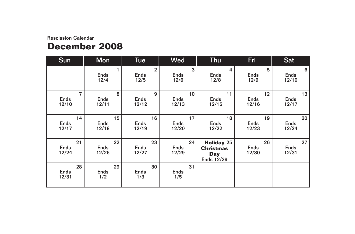## **December 2008**

| <b>Sun</b>                             | <b>Mon</b>                 | <b>Tue</b>                            | <b>Wed</b>                 | <b>Thu</b>                                                        | Fri                        | <b>Sat</b>                 |
|----------------------------------------|----------------------------|---------------------------------------|----------------------------|-------------------------------------------------------------------|----------------------------|----------------------------|
|                                        | <b>Ends</b><br>12/4        | $\overline{2}$<br><b>Ends</b><br>12/5 | 3<br><b>Ends</b><br>12/6   | 4<br><b>Ends</b><br>12/8                                          | 5<br><b>Ends</b><br>12/9   | 6<br><b>Ends</b><br>12/10  |
| $\overline{7}$<br><b>Ends</b><br>12/10 | 8<br><b>Ends</b><br>12/11  | 9<br><b>Ends</b><br>12/12             | 10<br><b>Ends</b><br>12/13 | 11<br><b>Ends</b><br>12/15                                        | 12<br><b>Ends</b><br>12/16 | 13<br><b>Ends</b><br>12/17 |
| 14<br><b>Ends</b><br>12/17             | 15<br><b>Ends</b><br>12/18 | 16<br><b>Ends</b><br>12/19            | 17<br><b>Ends</b><br>12/20 | 18<br><b>Ends</b><br>12/22                                        | 19<br><b>Ends</b><br>12/23 | 20<br><b>Ends</b><br>12/24 |
| 21<br><b>Ends</b><br>12/24             | 22<br><b>Ends</b><br>12/26 | 23<br><b>Ends</b><br>12/27            | 24<br><b>Ends</b><br>12/29 | <b>Holiday 25</b><br><b>Christmas</b><br><b>Day</b><br>Ends 12/29 | 26<br><b>Ends</b><br>12/30 | 27<br><b>Ends</b><br>12/31 |
| 28<br><b>Ends</b><br>12/31             | 29<br>Ends<br>1/2          | 30<br>Ends<br>1/3                     | 31<br><b>Ends</b><br>1/5   |                                                                   |                            |                            |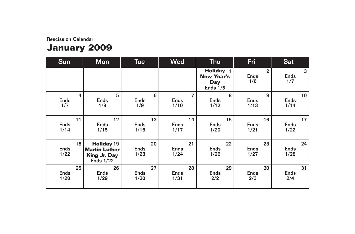# **January 2009**

| <b>Sun</b>                | <b>Mon</b>                                                                           | <b>Tue</b>                | <b>Wed</b>                | <b>Thu</b>                                                 | Fri                                  | <b>Sat</b>                |
|---------------------------|--------------------------------------------------------------------------------------|---------------------------|---------------------------|------------------------------------------------------------|--------------------------------------|---------------------------|
|                           |                                                                                      |                           |                           | <b>Holiday</b> 1<br><b>New Year's</b><br>Day<br>Ends $1/5$ | $\overline{2}$<br><b>Ends</b><br>1/6 | 3<br><b>Ends</b><br>1/7   |
| 4                         | 5                                                                                    | 6                         | 7                         | 8                                                          | 9                                    | 10 <sup>°</sup>           |
| <b>Ends</b>               | <b>Ends</b>                                                                          | <b>Ends</b>               | <b>Ends</b>               | <b>Ends</b>                                                | <b>Ends</b>                          | <b>Ends</b>               |
| 1/7                       | 1/8                                                                                  | 1/9                       | 1/10                      | 1/12                                                       | 1/13                                 | 1/14                      |
| 11                        | 12 <sup>2</sup>                                                                      | 13                        | 14                        | 15                                                         | 16                                   | 17                        |
| <b>Ends</b>               | <b>Ends</b>                                                                          | <b>Ends</b>               | <b>Ends</b>               | <b>Ends</b>                                                | <b>Ends</b>                          | <b>Ends</b>               |
| 1/14                      | 1/15                                                                                 | 1/16                      | 1/17                      | 1/20                                                       | 1/21                                 | 1/22                      |
| 18<br><b>Ends</b><br>1/22 | <b>Holiday 19</b><br><b>Martin Luther</b><br><b>King Jr. Day</b><br><b>Ends 1/22</b> | 20<br><b>Ends</b><br>1/23 | 21<br><b>Ends</b><br>1/24 | 22<br><b>Ends</b><br>1/26                                  | 23<br><b>Ends</b><br>1/27            | 24<br><b>Ends</b><br>1/28 |
| 25                        | 26                                                                                   | 27                        | 28                        | 29                                                         | 30                                   | 31                        |
| <b>Ends</b>               | <b>Ends</b>                                                                          | <b>Ends</b>               | <b>Ends</b>               | <b>Ends</b>                                                | <b>Ends</b>                          | <b>Ends</b>               |
| 1/28                      | 1/29                                                                                 | 1/30                      | 1/31                      | 2/2                                                        | 2/3                                  | 2/4                       |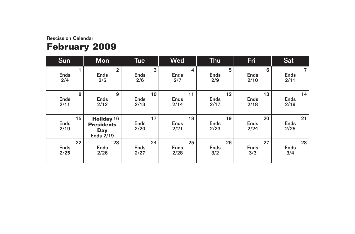# **February 2009**

| <b>Sun</b>                             | <b>Mon</b>                                                                   | <b>Tue</b>                             | <b>Wed</b>                | Thu                                    | Fri                       | <b>Sat</b>                |
|----------------------------------------|------------------------------------------------------------------------------|----------------------------------------|---------------------------|----------------------------------------|---------------------------|---------------------------|
| <b>Ends</b><br>2/4                     | $\overline{2}$<br>Ends<br>2/5                                                | 3<br><b>Ends</b><br>2/6                | 4<br><b>Ends</b><br>2/7   | 5<br><b>Ends</b><br>2/9                | 6<br><b>Ends</b><br>2/10  | 7<br><b>Ends</b><br>2/11  |
| 8<br>Ends<br>2/11                      | 9<br><b>Ends</b><br>2/12                                                     | 10 <sup>1</sup><br><b>Ends</b><br>2/13 | 11<br><b>Ends</b><br>2/14 | 12 <sup>2</sup><br><b>Ends</b><br>2/17 | 13<br><b>Ends</b><br>2/18 | 14<br><b>Ends</b><br>2/19 |
| 15 <sub>1</sub><br><b>Ends</b><br>2/19 | Holiday <sup>16</sup><br><b>Presidents</b><br><b>Day</b><br><b>Ends 2/19</b> | 17<br><b>Ends</b><br>2/20              | 18<br><b>Ends</b><br>2/21 | 19<br><b>Ends</b><br>2/23              | 20<br><b>Ends</b><br>2/24 | 21<br><b>Ends</b><br>2/25 |
| 22<br>Ends<br>2/25                     | 23<br><b>Ends</b><br>2/26                                                    | 24<br><b>Ends</b><br>2/27              | 25<br><b>Ends</b><br>2/28 | 26<br><b>Ends</b><br>3/2               | 27<br><b>Ends</b><br>3/3  | 28<br><b>Ends</b><br>3/4  |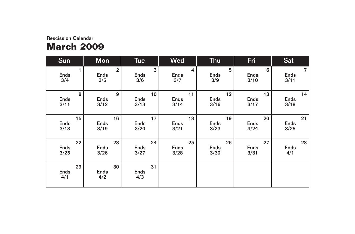## Rescission Calendar **March 2009**

| <b>Sun</b>               | <b>Mon</b>                         | <b>Tue</b>        | <b>Wed</b>              | <b>Thu</b>              | Fri                      | <b>Sat</b>                            |
|--------------------------|------------------------------------|-------------------|-------------------------|-------------------------|--------------------------|---------------------------------------|
| Ends<br>3/4              | $\mathbf{2}$<br><b>Ends</b><br>3/5 | 3<br>Ends<br>3/6  | 4<br><b>Ends</b><br>3/7 | 5<br><b>Ends</b><br>3/9 | 6<br><b>Ends</b><br>3/10 | $\overline{7}$<br><b>Ends</b><br>3/11 |
| 8                        | 9                                  | 10                | 11                      | 12                      | 13                       | 14                                    |
| Ends                     | <b>Ends</b>                        | Ends              | <b>Ends</b>             | <b>Ends</b>             | Ends                     | <b>Ends</b>                           |
| 3/11                     | 3/12                               | 3/13              | 3/14                    | 3/16                    | 3/17                     | 3/18                                  |
| 15 <sub>1</sub>          | 16                                 | 17                | 18                      | 19                      | 20                       | 21                                    |
| <b>Ends</b>              | <b>Ends</b>                        | <b>Ends</b>       | <b>Ends</b>             | <b>Ends</b>             | <b>Ends</b>              | <b>Ends</b>                           |
| 3/18                     | 3/19                               | 3/20              | 3/21                    | 3/23                    | 3/24                     | 3/25                                  |
| 22                       | 23                                 | 24                | 25                      | 26                      | 27                       | 28                                    |
| <b>Ends</b>              | <b>Ends</b>                        | <b>Ends</b>       | <b>Ends</b>             | <b>Ends</b>             | <b>Ends</b>              | <b>Ends</b>                           |
| 3/25                     | 3/26                               | 3/27              | 3/28                    | 3/30                    | 3/31                     | 4/1                                   |
| 29<br><b>Ends</b><br>4/1 | 30<br>Ends<br>4/2                  | 31<br>Ends<br>4/3 |                         |                         |                          |                                       |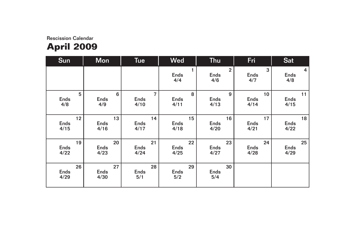## Rescission Calendar **April 2009**

| <b>Sun</b>         | <b>Mon</b>                | <b>Tue</b>               | <b>Wed</b>               | <b>Thu</b>                           | Fri                     | <b>Sat</b>              |
|--------------------|---------------------------|--------------------------|--------------------------|--------------------------------------|-------------------------|-------------------------|
|                    |                           |                          | <b>Ends</b><br>4/4       | $\overline{2}$<br><b>Ends</b><br>4/6 | 3<br><b>Ends</b><br>4/7 | 4<br><b>Ends</b><br>4/8 |
| 5                  | 6                         | $\overline{7}$           | 8                        | 9                                    | 10                      | 11                      |
| Ends               | <b>Ends</b>               | <b>Ends</b>              | <b>Ends</b>              | <b>Ends</b>                          | <b>Ends</b>             | <b>Ends</b>             |
| 4/8                | 4/9                       | 4/10                     | 4/11                     | 4/13                                 | 4/14                    | 4/15                    |
| 12                 | 13                        | 14                       | 15                       | 16                                   | 17                      | 18                      |
| <b>Ends</b>        | Ends                      | <b>Ends</b>              | <b>Ends</b>              | Ends                                 | <b>Ends</b>             | <b>Ends</b>             |
| 4/15               | 4/16                      | 4/17                     | 4/18                     | 4/20                                 | 4/21                    | 4/22                    |
| 19                 | 20                        | 21                       | 22                       | 23                                   | 24                      | 25                      |
| <b>Ends</b>        | Ends                      | <b>Ends</b>              | <b>Ends</b>              | Ends                                 | Ends                    | <b>Ends</b>             |
| 4/22               | 4/23                      | 4/24                     | 4/25                     | 4/27                                 | 4/28                    | 4/29                    |
| 26<br>Ends<br>4/29 | 27<br><b>Ends</b><br>4/30 | 28<br><b>Ends</b><br>5/1 | 29<br><b>Ends</b><br>5/2 | 30<br><b>Ends</b><br>5/4             |                         |                         |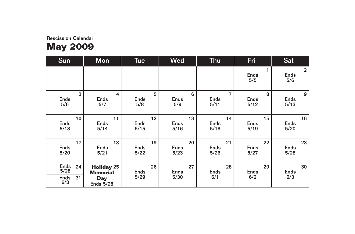| <b>Sun</b>                              | <b>Mon</b>                                                             | <b>Tue</b>                | <b>Wed</b>                | <b>Thu</b>               | Fri                      | <b>Sat</b>                           |
|-----------------------------------------|------------------------------------------------------------------------|---------------------------|---------------------------|--------------------------|--------------------------|--------------------------------------|
|                                         |                                                                        |                           |                           |                          | <b>Ends</b><br>5/5       | $\overline{2}$<br><b>Ends</b><br>5/6 |
| 3                                       | $\overline{4}$                                                         | 5                         | 6                         | $\overline{7}$           | 8                        | 9                                    |
| <b>Ends</b>                             | <b>Ends</b>                                                            | <b>Ends</b>               | <b>Ends</b>               | <b>Ends</b>              | <b>Ends</b>              | <b>Ends</b>                          |
| 5/6                                     | 5/7                                                                    | 5/8                       | 5/9                       | 5/11                     | 5/12                     | 5/13                                 |
| 10 <sup>1</sup>                         | 11                                                                     | 12                        | 13                        | 14                       | 15                       | 16                                   |
| <b>Ends</b>                             | <b>Ends</b>                                                            | <b>Ends</b>               | <b>Ends</b>               | <b>Ends</b>              | <b>Ends</b>              | <b>Ends</b>                          |
| 5/13                                    | 5/14                                                                   | 5/15                      | 5/16                      | 5/18                     | 5/19                     | 5/20                                 |
| 17                                      | 18                                                                     | 19                        | 20                        | 21                       | 22                       | 23                                   |
| <b>Ends</b>                             | <b>Ends</b>                                                            | <b>Ends</b>               | <b>Ends</b>               | <b>Ends</b>              | <b>Ends</b>              | <b>Ends</b>                          |
| 5/20                                    | 5/21                                                                   | 5/22                      | 5/23                      | 5/26                     | 5/27                     | 5/28                                 |
| Ends<br>24<br>5/28<br>31<br>Ends<br>6/3 | <b>Holiday 25</b><br><b>Memorial</b><br><b>Day</b><br><b>Ends 5/28</b> | 26<br><b>Ends</b><br>5/29 | 27<br><b>Ends</b><br>5/30 | 28<br><b>Ends</b><br>6/1 | 29<br><b>Ends</b><br>6/2 | 30<br><b>Ends</b><br>6/3             |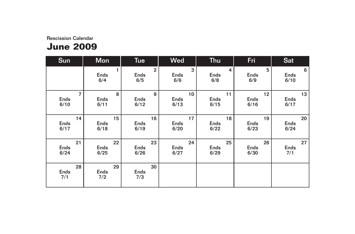## **June 2009**

| <b>Sun</b>               | <b>Mon</b>         | <b>Tue</b>                           | <b>Wed</b>              | <b>Thu</b>              | Fri                     | <b>Sat</b>               |
|--------------------------|--------------------|--------------------------------------|-------------------------|-------------------------|-------------------------|--------------------------|
|                          | <b>Ends</b><br>6/4 | $\overline{2}$<br><b>Ends</b><br>6/5 | 3<br><b>Ends</b><br>6/6 | 4<br><b>Ends</b><br>6/8 | 5<br><b>Ends</b><br>6/9 | 6<br><b>Ends</b><br>6/10 |
| $\overline{7}$           | 8                  | 9                                    | 10 <sup>°</sup>         | 11                      | 12                      | 13                       |
| Ends                     | <b>Ends</b>        | <b>Ends</b>                          | <b>Ends</b>             | <b>Ends</b>             | Ends                    | <b>Ends</b>              |
| 6/10                     | 6/11               | 6/12                                 | 6/13                    | 6/15                    | 6/16                    | 6/17                     |
| 14                       | 15                 | 16                                   | 17                      | 18                      | 19                      | 20                       |
| <b>Ends</b>              | <b>Ends</b>        | Ends                                 | <b>Ends</b>             | <b>Ends</b>             | <b>Ends</b>             | <b>Ends</b>              |
| 6/17                     | 6/18               | 6/19                                 | 6/20                    | 6/22                    | 6/23                    | 6/24                     |
| 21                       | 22                 | 23                                   | 24                      | 25                      | 26                      | 27                       |
| Ends                     | <b>Ends</b>        | <b>Ends</b>                          | <b>Ends</b>             | <b>Ends</b>             | <b>Ends</b>             | <b>Ends</b>              |
| 6/24                     | 6/25               | 6/26                                 | 6/27                    | 6/29                    | 6/30                    | 7/1                      |
| 28<br><b>Ends</b><br>7/1 | 29<br>Ends<br>7/2  | 30<br>Ends<br>7/3                    |                         |                         |                         |                          |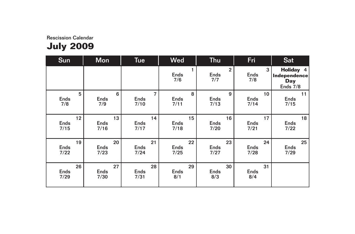| <b>Sun</b>      | <b>Mon</b>  | <b>Tue</b>  | <b>Wed</b>         | <b>Thu</b>                           | Fri                     | <b>Sat</b>                                                   |
|-----------------|-------------|-------------|--------------------|--------------------------------------|-------------------------|--------------------------------------------------------------|
|                 |             |             | <b>Ends</b><br>7/6 | $\overline{2}$<br><b>Ends</b><br>7/7 | 3<br><b>Ends</b><br>7/8 | <b>Holiday 4</b><br>Independence<br><b>Day</b><br>Ends $7/8$ |
| 5               | 6           | 7           | 8                  | 9                                    | 10                      | 11                                                           |
| Ends            | <b>Ends</b> | <b>Ends</b> | <b>Ends</b>        | <b>Ends</b>                          | <b>Ends</b>             | <b>Ends</b>                                                  |
| 7/8             | 7/9         | 7/10        | 7/11               | 7/13                                 | 7/14                    | 7/15                                                         |
| 12 <sup>2</sup> | 13          | 14          | 15                 | 16                                   | 17                      | 18                                                           |
| <b>Ends</b>     | <b>Ends</b> | <b>Ends</b> | <b>Ends</b>        | <b>Ends</b>                          | <b>Ends</b>             | <b>Ends</b>                                                  |
| 7/15            | 7/16        | 7/17        | 7/18               | 7/20                                 | 7/21                    | 7/22                                                         |
| 19              | 20          | 21          | 22                 | 23                                   | 24                      | 25                                                           |
| <b>Ends</b>     | <b>Ends</b> | <b>Ends</b> | <b>Ends</b>        | <b>Ends</b>                          | Ends                    | <b>Ends</b>                                                  |
| 7/22            | 7/23        | 7/24        | 7/25               | 7/27                                 | 7/28                    | 7/29                                                         |
| 26              | 27          | 28          | 29                 | 30                                   | 31                      |                                                              |
| <b>Ends</b>     | <b>Ends</b> | <b>Ends</b> | <b>Ends</b>        | <b>Ends</b>                          | <b>Ends</b>             |                                                              |
| 7/29            | 7/30        | 7/31        | 8/1                | 8/3                                  | 8/4                     |                                                              |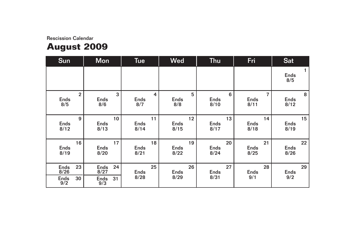# **August 2009**

| Sun                         | <b>Mon</b>                | <b>Tue</b>                | <b>Wed</b>                | <b>Thu</b>                            | Fri                                   | <b>Sat</b>                |
|-----------------------------|---------------------------|---------------------------|---------------------------|---------------------------------------|---------------------------------------|---------------------------|
|                             |                           |                           |                           |                                       |                                       | <b>Ends</b><br>8/5        |
| $\mathbf{2}$<br>Ends<br>8/5 | 3<br><b>Ends</b><br>8/6   | 4<br><b>Ends</b><br>8/7   | 5<br><b>Ends</b><br>8/8   | $6\phantom{1}$<br><b>Ends</b><br>8/10 | $\overline{7}$<br><b>Ends</b><br>8/11 | 8<br><b>Ends</b><br>8/12  |
| 9<br>Ends<br>8/12           | 10<br><b>Ends</b><br>8/13 | 11<br><b>Ends</b><br>8/14 | 12<br><b>Ends</b><br>8/15 | 13<br><b>Ends</b><br>8/17             | 14<br><b>Ends</b><br>8/18             | 15<br><b>Ends</b><br>8/19 |
| 16<br><b>Ends</b><br>8/19   | 17<br><b>Ends</b><br>8/20 | 18<br><b>Ends</b><br>8/21 | 19<br><b>Ends</b><br>8/22 | 20<br><b>Ends</b><br>8/24             | 21<br><b>Ends</b><br>8/25             | 22<br><b>Ends</b><br>8/26 |
| 23<br><b>Ends</b><br>8/26   | 24<br><b>Ends</b><br>8/27 | 25<br><b>Ends</b>         | 26<br><b>Ends</b>         | 27<br><b>Ends</b>                     | 28<br><b>Ends</b>                     | 29<br><b>Ends</b>         |
| 30<br>Ends<br>$9/2$         | 31<br>Ends<br>9/3         | 8/28                      | 8/29                      | 8/31                                  | 9/1                                   | 9/2                       |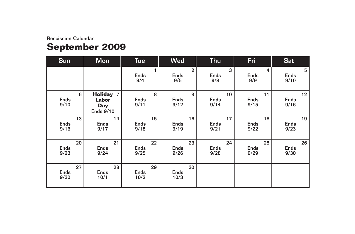# **September 2009**

| <b>Sun</b>                | <b>Mon</b>                                                  | <b>Tue</b>                | <b>Wed</b>                           | <b>Thu</b>                | Fri                       | <b>Sat</b>                |
|---------------------------|-------------------------------------------------------------|---------------------------|--------------------------------------|---------------------------|---------------------------|---------------------------|
|                           |                                                             | <b>Ends</b><br>9/4        | $\overline{2}$<br><b>Ends</b><br>9/5 | 3<br><b>Ends</b><br>9/8   | 4<br><b>Ends</b><br>9/9   | 5<br><b>Ends</b><br>9/10  |
| 6<br><b>Ends</b><br>9/10  | <b>Holiday 7</b><br>Labor<br><b>Day</b><br><b>Ends 9/10</b> | 8<br><b>Ends</b><br>9/11  | 9<br><b>Ends</b><br>9/12             | 10<br><b>Ends</b><br>9/14 | 11<br><b>Ends</b><br>9/15 | 12<br><b>Ends</b><br>9/16 |
| 13<br><b>Ends</b><br>9/16 | 14<br><b>Ends</b><br>9/17                                   | 15<br><b>Ends</b><br>9/18 | 16<br><b>Ends</b><br>9/19            | 17<br><b>Ends</b><br>9/21 | 18<br><b>Ends</b><br>9/22 | 19<br><b>Ends</b><br>9/23 |
| 20<br><b>Ends</b><br>9/23 | 21<br><b>Ends</b><br>9/24                                   | 22<br><b>Ends</b><br>9/25 | 23<br><b>Ends</b><br>9/26            | 24<br><b>Ends</b><br>9/28 | 25<br><b>Ends</b><br>9/29 | 26<br><b>Ends</b><br>9/30 |
| 27<br><b>Ends</b><br>9/30 | 28<br><b>Ends</b><br>10/1                                   | 29<br><b>Ends</b><br>10/2 | 30<br><b>Ends</b><br>10/3            |                           |                           |                           |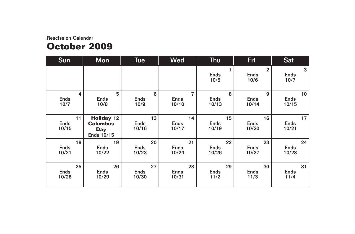## **October 2009**

| Sun                        | <b>Mon</b>                                                       | <b>Tue</b>                 | <b>Wed</b>                 | <b>Thu</b>                 | Fri                                   | <b>Sat</b>                 |
|----------------------------|------------------------------------------------------------------|----------------------------|----------------------------|----------------------------|---------------------------------------|----------------------------|
|                            |                                                                  |                            |                            | 1<br><b>Ends</b><br>10/5   | $\overline{2}$<br><b>Ends</b><br>10/6 | 3<br><b>Ends</b><br>10/7   |
| 4                          | 5                                                                | 6                          | $\overline{7}$             | 8                          | 9                                     | 10 <sup>1</sup>            |
| <b>Ends</b>                | <b>Ends</b>                                                      | <b>Ends</b>                | <b>Ends</b>                | <b>Ends</b>                | <b>Ends</b>                           | <b>Ends</b>                |
| 10/7                       | 10/8                                                             | 10/9                       | 10/10                      | 10/13                      | 10/14                                 | 10/15                      |
| 11<br><b>Ends</b><br>10/15 | <b>Holiday 12</b><br><b>Columbus</b><br><b>Day</b><br>Ends 10/15 | 13<br><b>Ends</b><br>10/16 | 14<br><b>Ends</b><br>10/17 | 15<br><b>Ends</b><br>10/19 | 16<br><b>Ends</b><br>10/20            | 17<br><b>Ends</b><br>10/21 |
| 18                         | 19                                                               | 20                         | 21                         | 22                         | 23                                    | 24                         |
| <b>Ends</b>                | <b>Ends</b>                                                      | <b>Ends</b>                | <b>Ends</b>                | <b>Ends</b>                | <b>Ends</b>                           | <b>Ends</b>                |
| 10/21                      | 10/22                                                            | 10/23                      | 10/24                      | 10/26                      | 10/27                                 | 10/28                      |
| 25                         | 26                                                               | 27                         | 28                         | 29                         | 30                                    | 31                         |
| <b>Ends</b>                | <b>Ends</b>                                                      | <b>Ends</b>                | <b>Ends</b>                | <b>Ends</b>                | <b>Ends</b>                           | <b>Ends</b>                |
| 10/28                      | 10/29                                                            | 10/30                      | 10/31                      | 11/2                       | 11/3                                  | 11/4                       |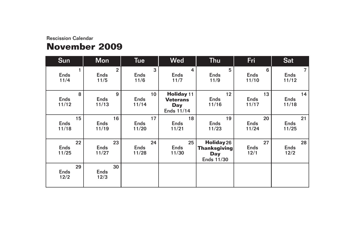## **November 2009**

| <b>Sun</b>                 | <b>Mon</b>                            | <b>Tue</b>                              | <b>Wed</b>                                                | Thu                                                           | Fri                        | <b>Sat</b>                             |
|----------------------------|---------------------------------------|-----------------------------------------|-----------------------------------------------------------|---------------------------------------------------------------|----------------------------|----------------------------------------|
| <b>Ends</b><br>11/4        | $\overline{2}$<br><b>Ends</b><br>11/5 | 3<br>Ends<br>11/6                       | 4<br><b>Ends</b><br>11/7                                  | 5<br><b>Ends</b><br>11/9                                      | 6<br><b>Ends</b><br>11/10  | $\overline{7}$<br><b>Ends</b><br>11/12 |
| 8<br><b>Ends</b><br>11/12  | 9<br><b>Ends</b><br>11/13             | 10 <sup>°</sup><br><b>Ends</b><br>11/14 | <b>Holiday 11</b><br><b>Veterans</b><br>Day<br>Ends 11/14 | 12<br><b>Ends</b><br>11/16                                    | 13<br><b>Ends</b><br>11/17 | 14<br><b>Ends</b><br>11/18             |
| 15<br><b>Ends</b><br>11/18 | 16<br><b>Ends</b><br>11/19            | 17<br><b>Ends</b><br>11/20              | 18<br><b>Ends</b><br>11/21                                | 19<br><b>Ends</b><br>11/23                                    | 20<br><b>Ends</b><br>11/24 | 21<br><b>Ends</b><br>11/25             |
| 22<br><b>Ends</b><br>11/25 | 23<br><b>Ends</b><br>11/27            | 24<br><b>Ends</b><br>11/28              | 25<br><b>Ends</b><br>11/30                                | Holiday 26<br><b>Thanksgiving</b><br><b>Day</b><br>Ends 11/30 | 27<br><b>Ends</b><br>12/1  | 28<br><b>Ends</b><br>12/2              |
| 29<br><b>Ends</b><br>12/2  | 30<br><b>Ends</b><br>12/3             |                                         |                                                           |                                                               |                            |                                        |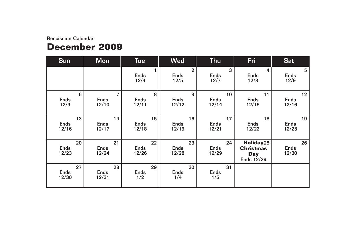## **December 2009**

| <b>Sun</b>                 | <b>Mon</b>                             | <b>Tue</b>                 | <b>Wed</b>                            | <b>Thu</b>                 | Fri                                                | <b>Sat</b>                 |
|----------------------------|----------------------------------------|----------------------------|---------------------------------------|----------------------------|----------------------------------------------------|----------------------------|
|                            |                                        | <b>Ends</b><br>12/4        | $\overline{2}$<br><b>Ends</b><br>12/5 | 3<br><b>Ends</b><br>12/7   | 4<br><b>Ends</b><br>12/8                           | 5<br><b>Ends</b><br>12/9   |
| 6<br><b>Ends</b><br>12/9   | $\overline{7}$<br><b>Ends</b><br>12/10 | 8<br><b>Ends</b><br>12/11  | 9<br><b>Ends</b><br>12/12             | 10<br><b>Ends</b><br>12/14 | 11<br><b>Ends</b><br>12/15                         | 12<br><b>Ends</b><br>12/16 |
| 13<br><b>Ends</b><br>12/16 | 14<br><b>Ends</b><br>12/17             | 15<br><b>Ends</b><br>12/18 | 16<br><b>Ends</b><br>12/19            | 17<br><b>Ends</b><br>12/21 | 18<br><b>Ends</b><br>12/22                         | 19<br><b>Ends</b><br>12/23 |
| 20<br><b>Ends</b><br>12/23 | 21<br>Ends<br>12/24                    | 22<br>Ends<br>12/26        | 23<br><b>Ends</b><br>12/28            | 24<br><b>Ends</b><br>12/29 | Holiday25<br><b>Christmas</b><br>Day<br>Ends 12/29 | 26<br><b>Ends</b><br>12/30 |
| 27<br>Ends<br>12/30        | 28<br><b>Ends</b><br>12/31             | 29<br><b>Ends</b><br>1/2   | 30<br><b>Ends</b><br>1/4              | 31<br><b>Ends</b><br>1/5   |                                                    |                            |